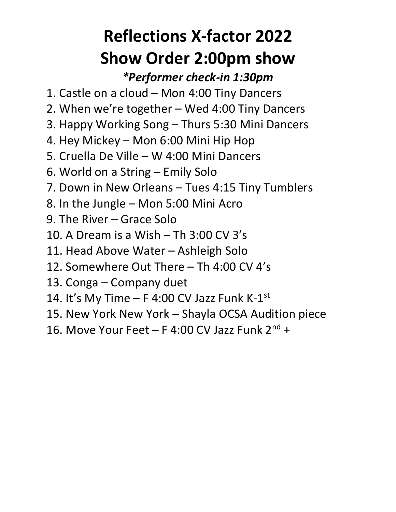# **Reflections X-factor 2022 Show Order 2:00pm show**

#### *\*Performer check-in 1:30pm*

- 1. Castle on a cloud Mon 4:00 Tiny Dancers
- 2. When we're together Wed 4:00 Tiny Dancers
- 3. Happy Working Song Thurs 5:30 Mini Dancers
- 4. Hey Mickey Mon 6:00 Mini Hip Hop
- 5. Cruella De Ville W 4:00 Mini Dancers
- 6. World on a String Emily Solo
- 7. Down in New Orleans Tues 4:15 Tiny Tumblers
- 8. In the Jungle Mon 5:00 Mini Acro
- 9. The River Grace Solo
- 10. A Dream is a Wish Th 3:00 CV 3's
- 11. Head Above Water Ashleigh Solo
- 12. Somewhere Out There Th 4:00 CV 4's
- 13. Conga Company duet
- 14. It's My Time  $-$  F 4:00 CV Jazz Funk K-1st
- 15. New York New York Shayla OCSA Audition piece
- 16. Move Your Feet F 4:00 CV Jazz Funk  $2^{nd}$  +